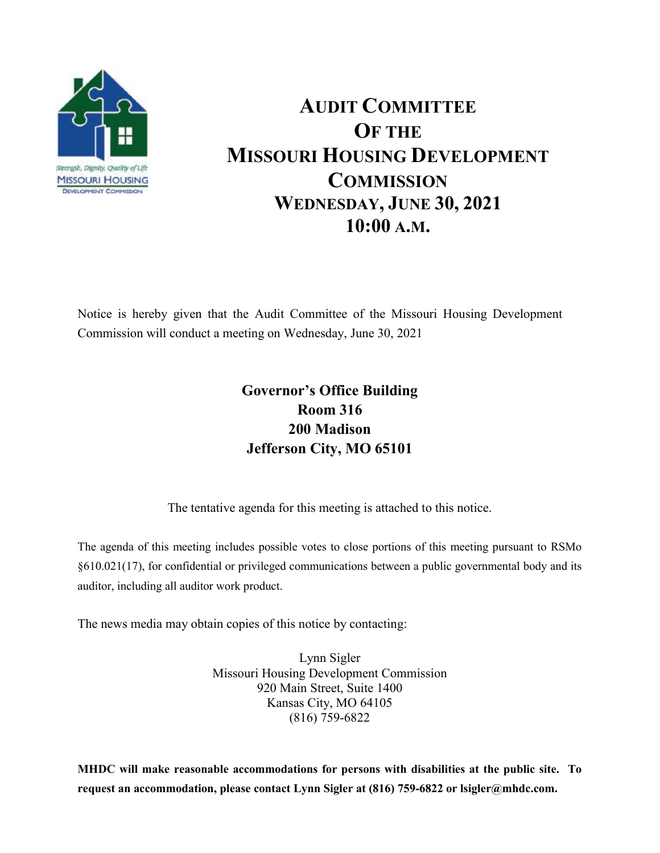

## **AUDIT COMMITTEE OF THE MISSOURI HOUSING DEVELOPMENT COMMISSION WEDNESDAY, JUNE 30, 2021 10:00 A.M.**

Notice is hereby given that the Audit Committee of the Missouri Housing Development Commission will conduct a meeting on Wednesday, June 30, 2021

## **Governor's Office Building Room 316 200 Madison Jefferson City, MO 65101**

The tentative agenda for this meeting is attached to this notice.

The agenda of this meeting includes possible votes to close portions of this meeting pursuant to RSMo §610.021(17), for confidential or privileged communications between a public governmental body and its auditor, including all auditor work product.

The news media may obtain copies of this notice by contacting:

Lynn Sigler Missouri Housing Development Commission 920 Main Street, Suite 1400 Kansas City, MO 64105 (816) 759-6822

**MHDC will make reasonable accommodations for persons with disabilities at the public site. To request an accommodation, please contact Lynn Sigler at (816) 759-6822 or lsigler@mhdc.com.**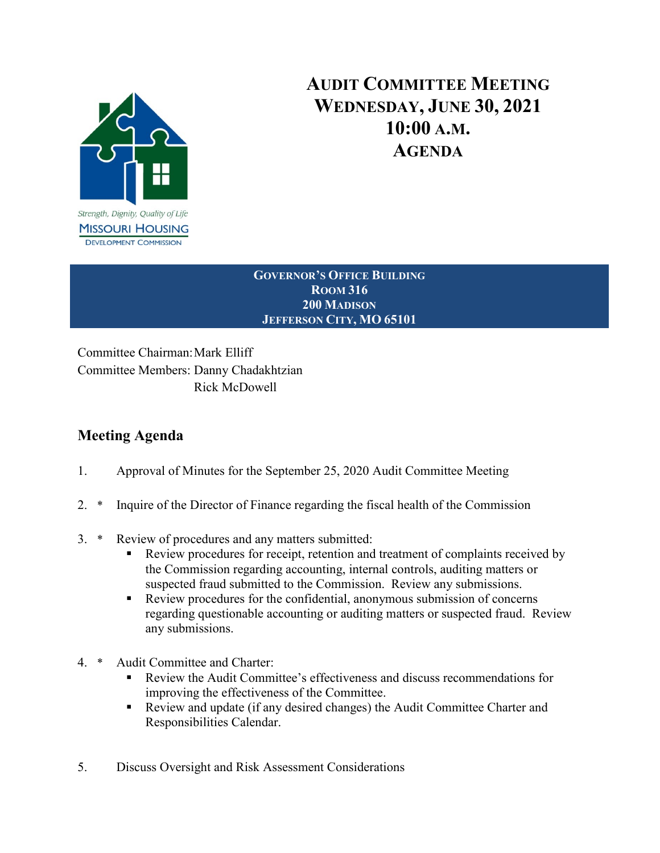

## **AUDIT COMMITTEE MEETING WEDNESDAY, JUNE 30, 2021 10:00 A.M. AGENDA**

**GOVERNOR'S OFFICE BUILDING ROOM 316 200 MADISON JEFFERSON CITY, MO 65101**

Committee Chairman:Mark Elliff Committee Members: Danny Chadakhtzian Rick McDowell

## **Meeting Agenda**

- 1. Approval of Minutes for the September 25, 2020 Audit Committee Meeting
- 2. \* Inquire of the Director of Finance regarding the fiscal health of the Commission
- 3. \* Review of procedures and any matters submitted:
	- Review procedures for receipt, retention and treatment of complaints received by the Commission regarding accounting, internal controls, auditing matters or suspected fraud submitted to the Commission. Review any submissions.
	- Review procedures for the confidential, anonymous submission of concerns regarding questionable accounting or auditing matters or suspected fraud. Review any submissions.
- 4. \* Audit Committee and Charter:
	- Review the Audit Committee's effectiveness and discuss recommendations for improving the effectiveness of the Committee.
	- Review and update (if any desired changes) the Audit Committee Charter and Responsibilities Calendar.
- 5. Discuss Oversight and Risk Assessment Considerations